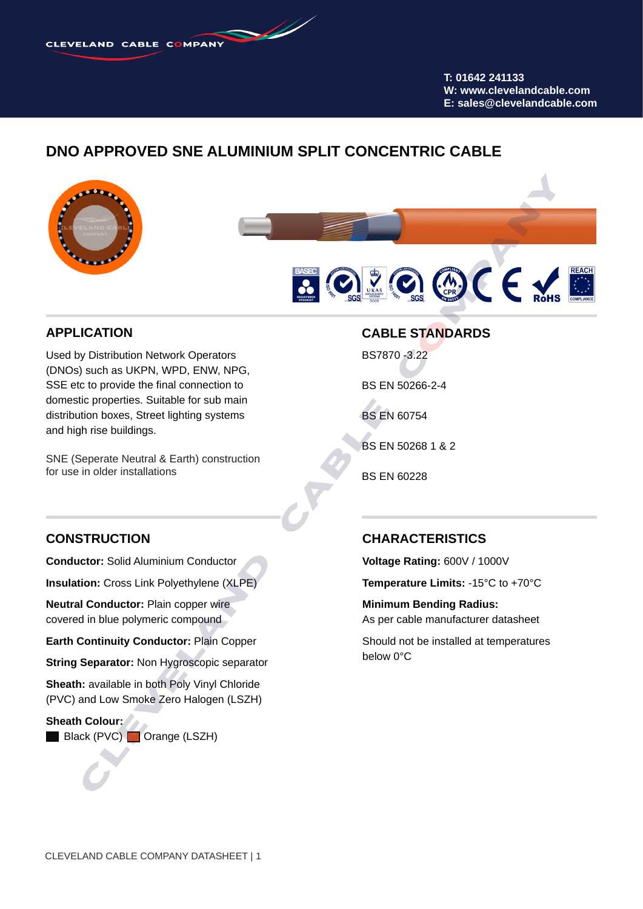**T: 01642 241133 W: www.clevelandcable.com E: sales@clevelandcable.com**

## **DNO APPROVED SNE ALUMINIUM SPLIT CONCENTRIC CABLE**





#### **APPLICATION**

Used by Distribution Network Operators (DNOs) such as UKPN, WPD, ENW, NPG, SSE etc to provide the final connection to domestic properties. Suitable for sub main distribution boxes, Street lighting systems and high rise buildings.

SNE (Seperate Neutral & Earth) construction for use in older installations

#### **CABLE STANDARDS**

BS7870 -3.22

BS EN 50266-2-4

BS EN 60754

BS EN 50268 1 & 2

BS EN 60228

#### **CONSTRUCTION**

**Conductor:** Solid Aluminium Conductor

**Insulation:** Cross Link Polyethylene (XLPE)

**Neutral Conductor:** Plain copper wire covered in blue polymeric compound

**Earth Continuity Conductor:** Plain Copper

**String Separator:** Non Hygroscopic separator

**Sheath:** available in both Poly Vinyl Chloride (PVC) and Low Smoke Zero Halogen (LSZH)

**Sheath Colour:** Black (PVC) **Orange (LSZH)** 

#### **CHARACTERISTICS**

**Voltage Rating:** 600V / 1000V

**Temperature Limits:** -15°C to +70°C

**Minimum Bending Radius:** As per cable manufacturer datasheet

Should not be installed at temperatures below 0°C